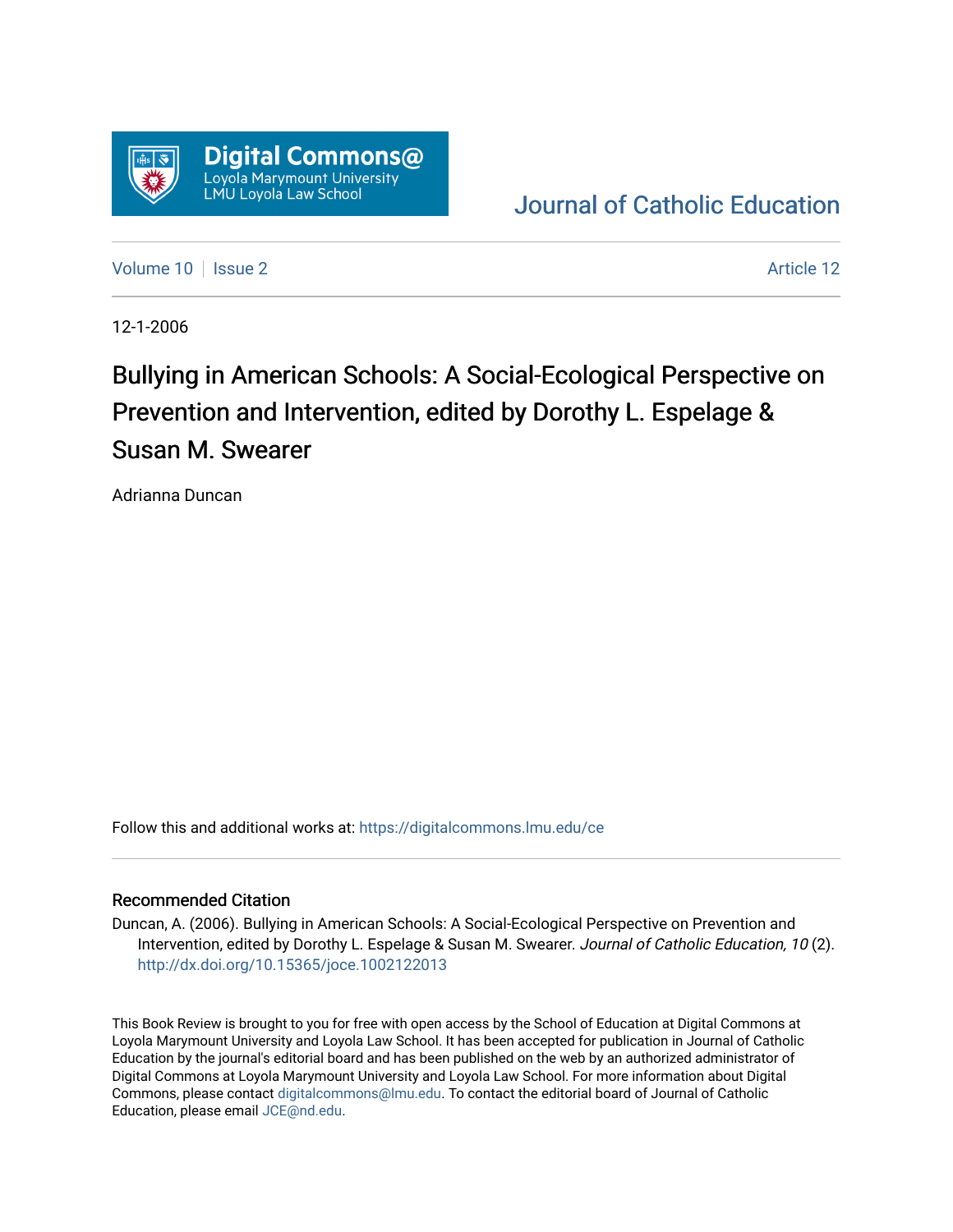

# [Journal of Catholic Education](https://digitalcommons.lmu.edu/ce)

[Volume 10](https://digitalcommons.lmu.edu/ce/vol10) | [Issue 2](https://digitalcommons.lmu.edu/ce/vol10/iss2) Article 12

12-1-2006

# Bullying in American Schools: A Social-Ecological Perspective on Prevention and Intervention, edited by Dorothy L. Espelage & Susan M. Swearer

Adrianna Duncan

Follow this and additional works at: [https://digitalcommons.lmu.edu/ce](https://digitalcommons.lmu.edu/ce?utm_source=digitalcommons.lmu.edu%2Fce%2Fvol10%2Fiss2%2F12&utm_medium=PDF&utm_campaign=PDFCoverPages)

## Recommended Citation

Duncan, A. (2006). Bullying in American Schools: A Social-Ecological Perspective on Prevention and Intervention, edited by Dorothy L. Espelage & Susan M. Swearer. Journal of Catholic Education, 10 (2). <http://dx.doi.org/10.15365/joce.1002122013>

This Book Review is brought to you for free with open access by the School of Education at Digital Commons at Loyola Marymount University and Loyola Law School. It has been accepted for publication in Journal of Catholic Education by the journal's editorial board and has been published on the web by an authorized administrator of Digital Commons at Loyola Marymount University and Loyola Law School. For more information about Digital Commons, please contact [digitalcommons@lmu.edu.](mailto:digitalcommons@lmu.edu) To contact the editorial board of Journal of Catholic Education, please email [JCE@nd.edu.](mailto:JCE@nd.edu)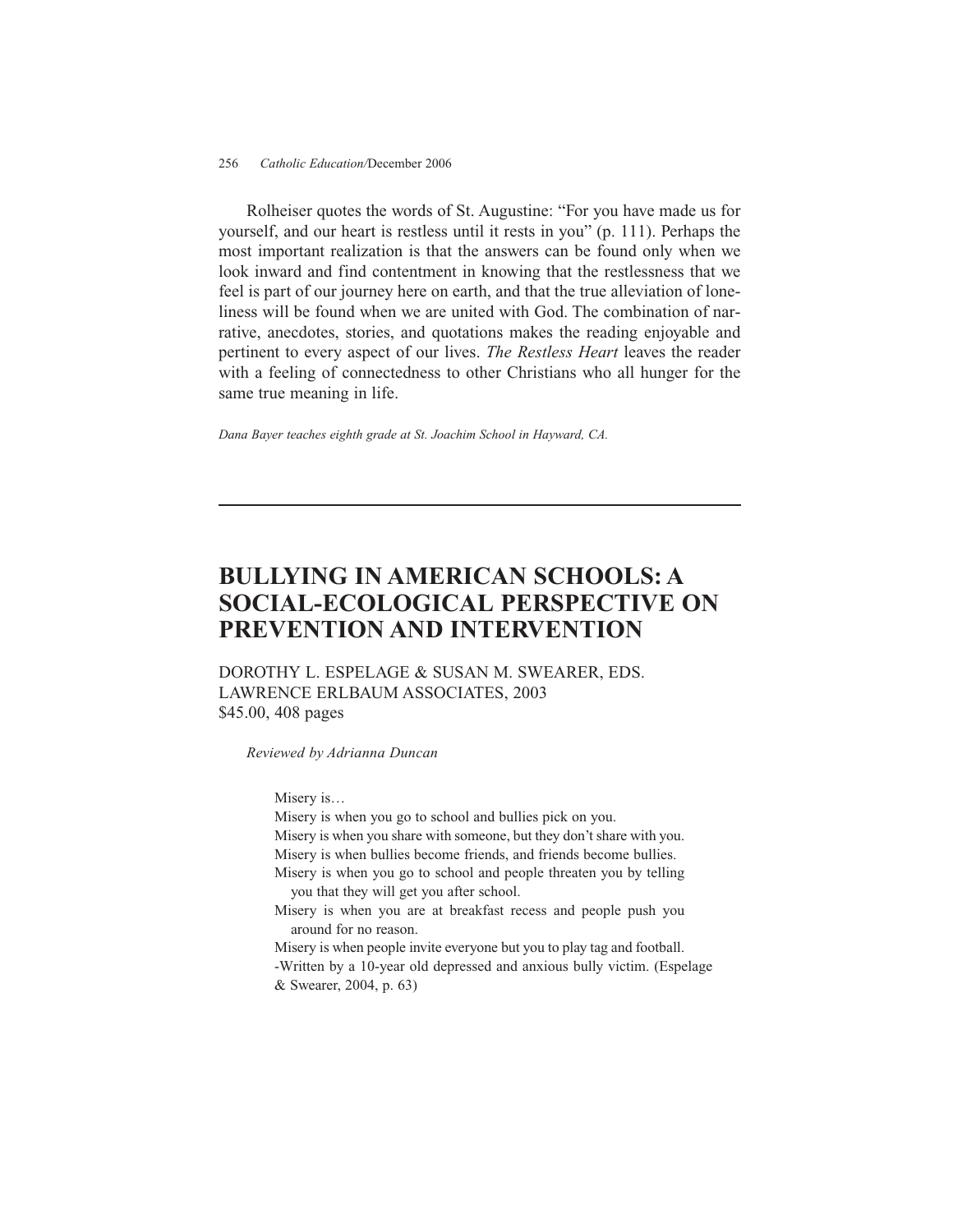#### 256 *Catholic Education/*December 2006

Rolheiser quotes the words of St. Augustine: "For you have made us for yourself, and our heart is restless until it rests in you" (p. 111). Perhaps the most important realization is that the answers can be found only when we look inward and find contentment in knowing that the restlessness that we feel is part of our journey here on earth, and that the true alleviation of loneliness will be found when we are united with God. The combination of narrative, anecdotes, stories, and quotations makes the reading enjoyable and pertinent to every aspect of our lives. *The Restless Heart* leaves the reader with a feeling of connectedness to other Christians who all hunger for the same true meaning in life.

*Dana Bayer teaches eighth grade at St. Joachim School in Hayward, CA.*

## **BULLYING IN AMERICAN SCHOOLS: A SOCIAL-ECOLOGICAL PERSPECTIVE ON PREVENTION AND INTERVENTION**

DOROTHY L. ESPELAGE & SUSAN M. SWEARER, EDS. LAWRENCE ERLBAUM ASSOCIATES, 2003 \$45.00, 408 pages

*Reviewed by Adrianna Duncan*

Misery is…

Misery is when you go to school and bullies pick on you. Misery is when you share with someone, but they don't share with you. Misery is when bullies become friends, and friends become bullies. Misery is when you go to school and people threaten you by telling you that they will get you after school. Misery is when you are at breakfast recess and people push you around for no reason. Misery is when people invite everyone but you to play tag and football.

-Written by a 10-year old depressed and anxious bully victim. (Espelage & Swearer, 2004, p. 63)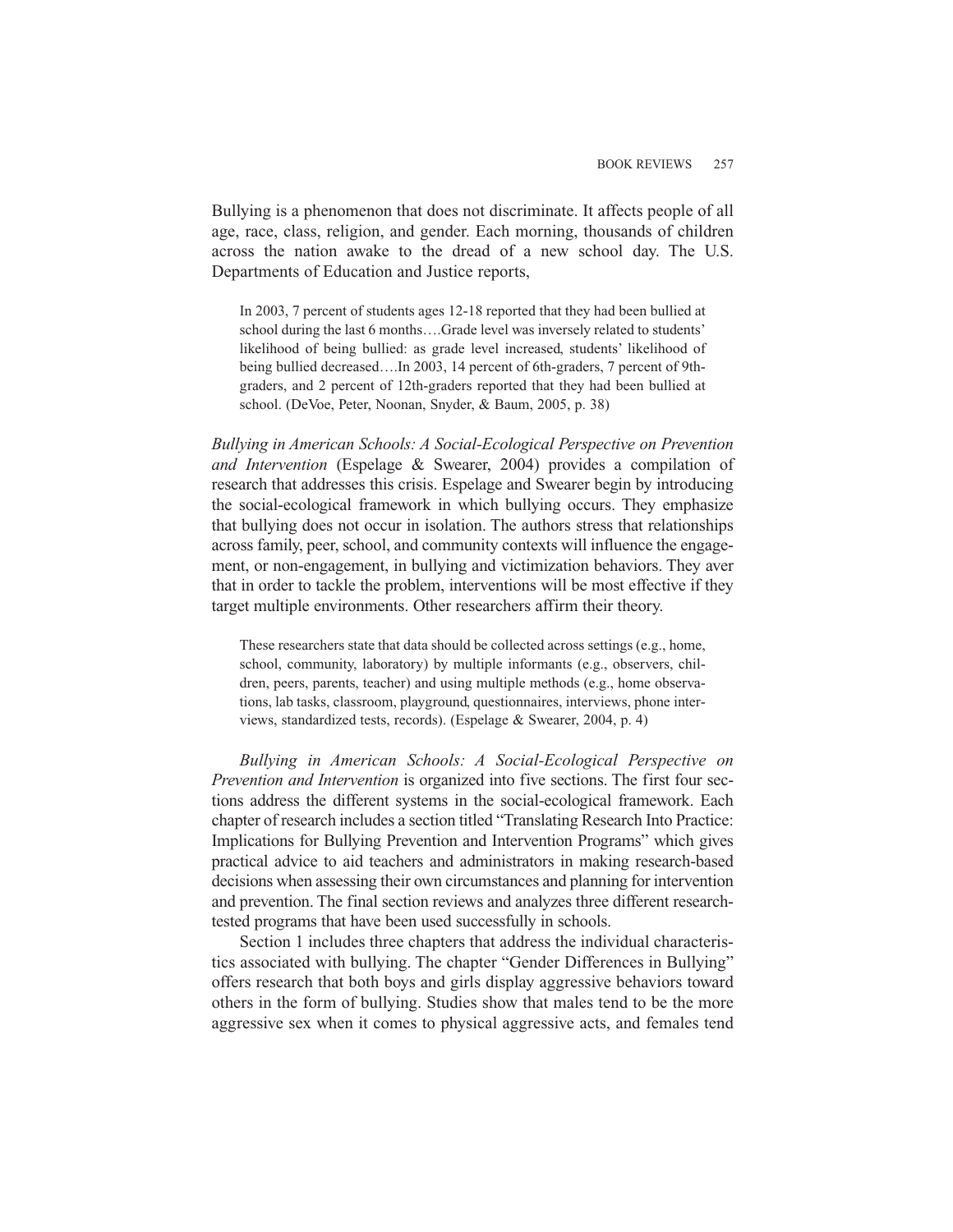Bullying is a phenomenon that does not discriminate. It affects people of all age, race, class, religion, and gender. Each morning, thousands of children across the nation awake to the dread of a new school day. The U.S. Departments of Education and Justice reports,

In 2003, 7 percent of students ages 12-18 reported that they had been bullied at school during the last 6 months….Grade level was inversely related to students' likelihood of being bullied: as grade level increased, students' likelihood of being bullied decreased….In 2003, 14 percent of 6th-graders, 7 percent of 9thgraders, and 2 percent of 12th-graders reported that they had been bullied at school. (DeVoe, Peter, Noonan, Snyder, & Baum, 2005, p. 38)

*Bullying in American Schools: A Social-Ecological Perspective on Prevention and Intervention* (Espelage & Swearer, 2004) provides a compilation of research that addresses this crisis. Espelage and Swearer begin by introducing the social-ecological framework in which bullying occurs. They emphasize that bullying does not occur in isolation. The authors stress that relationships across family, peer, school, and community contexts will influence the engagement, or non-engagement, in bullying and victimization behaviors. They aver that in order to tackle the problem, interventions will be most effective if they target multiple environments. Other researchers affirm their theory.

These researchers state that data should be collected across settings (e.g., home, school, community, laboratory) by multiple informants (e.g., observers, children, peers, parents, teacher) and using multiple methods (e.g., home observations, lab tasks, classroom, playground, questionnaires, interviews, phone interviews, standardized tests, records). (Espelage & Swearer, 2004, p. 4)

*Bullying in American Schools: A Social-Ecological Perspective on Prevention and Intervention* is organized into five sections. The first four sections address the different systems in the social-ecological framework. Each chapter of research includes a section titled "Translating Research Into Practice: Implications for Bullying Prevention and Intervention Programs" which gives practical advice to aid teachers and administrators in making research-based decisions when assessing their own circumstances and planning for intervention and prevention. The final section reviews and analyzes three different researchtested programs that have been used successfully in schools.

Section 1 includes three chapters that address the individual characteristics associated with bullying. The chapter "Gender Differences in Bullying" offers research that both boys and girls display aggressive behaviors toward others in the form of bullying. Studies show that males tend to be the more aggressive sex when it comes to physical aggressive acts, and females tend